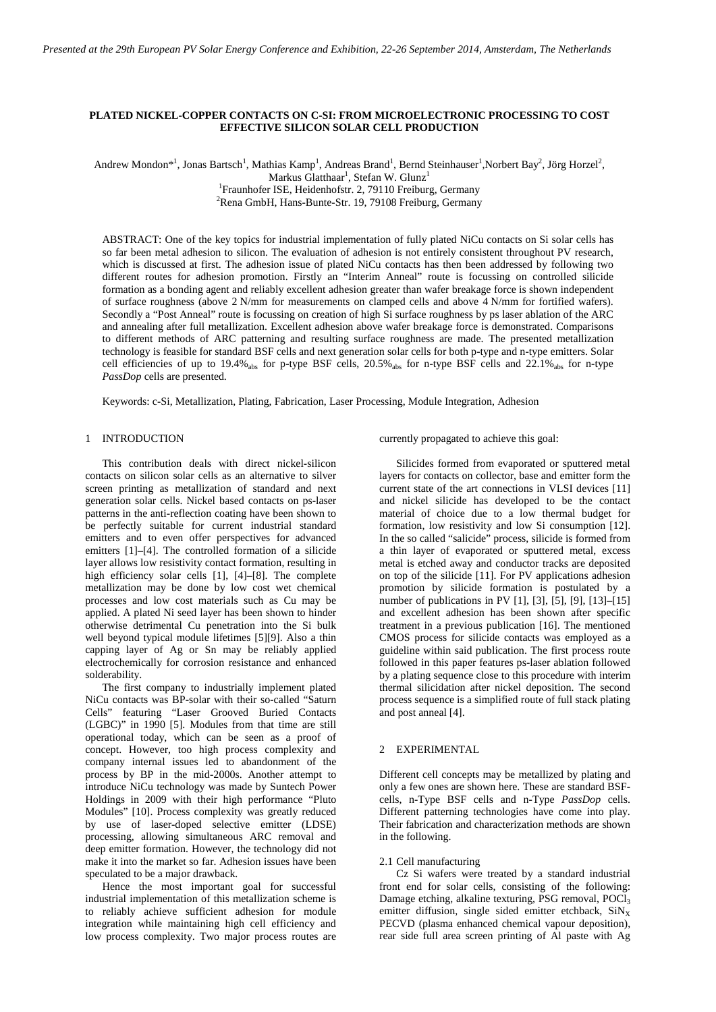# **PLATED NICKEL-COPPER CONTACTS ON C-SI: FROM MICROELECTRONIC PROCESSING TO COST EFFECTIVE SILICON SOLAR CELL PRODUCTION**

Andrew Mondon\*<sup>1</sup>, Jonas Bartsch<sup>1</sup>, Mathias Kamp<sup>1</sup>, Andreas Brand<sup>1</sup>, Bernd Steinhauser<sup>1</sup>, Norbert Bay<sup>2</sup>, Jörg Horzel<sup>2</sup>,

Markus Glatthaar<sup>1</sup>, Stefan W. Glunz<sup>1</sup>

<sup>1</sup>Fraunhofer ISE, Heidenhofstr. 2, 79110 Freiburg, Germany

2 Rena GmbH, Hans-Bunte-Str. 19, 79108 Freiburg, Germany

ABSTRACT: One of the key topics for industrial implementation of fully plated NiCu contacts on Si solar cells has so far been metal adhesion to silicon. The evaluation of adhesion is not entirely consistent throughout PV research, which is discussed at first. The adhesion issue of plated NiCu contacts has then been addressed by following two different routes for adhesion promotion. Firstly an "Interim Anneal" route is focussing on controlled silicide formation as a bonding agent and reliably excellent adhesion greater than wafer breakage force is shown independent of surface roughness (above 2 N/mm for measurements on clamped cells and above 4 N/mm for fortified wafers). Secondly a "Post Anneal" route is focussing on creation of high Si surface roughness by ps laser ablation of the ARC and annealing after full metallization. Excellent adhesion above wafer breakage force is demonstrated. Comparisons to different methods of ARC patterning and resulting surface roughness are made. The presented metallization technology is feasible for standard BSF cells and next generation solar cells for both p-type and n-type emitters. Solar cell efficiencies of up to 19.4% abs for p-type BSF cells,  $20.5\%$  abs for n-type BSF cells and  $22.1\%$  abs for n-type *PassDop* cells are presented.

Keywords: c-Si, Metallization, Plating, Fabrication, Laser Processing, Module Integration, Adhesion

## 1 INTRODUCTION

This contribution deals with direct nickel-silicon contacts on silicon solar cells as an alternative to silver screen printing as metallization of standard and next generation solar cells. Nickel based contacts on ps-laser patterns in the anti-reflection coating have been shown to be perfectly suitable for current industrial standard emitters and to even offer perspectives for advanced emitters [1]–[4]. The controlled formation of a silicide layer allows low resistivity contact formation, resulting in high efficiency solar cells [1], [4]–[8]. The complete metallization may be done by low cost wet chemical processes and low cost materials such as Cu may be applied. A plated Ni seed layer has been shown to hinder otherwise detrimental Cu penetration into the Si bulk well beyond typical module lifetimes [5][9]. Also a thin capping layer of Ag or Sn may be reliably applied electrochemically for corrosion resistance and enhanced solderability.

The first company to industrially implement plated NiCu contacts was BP-solar with their so-called "Saturn Cells" featuring "Laser Grooved Buried Contacts (LGBC)" in 1990 [5]. Modules from that time are still operational today, which can be seen as a proof of concept. However, too high process complexity and company internal issues led to abandonment of the process by BP in the mid-2000s. Another attempt to introduce NiCu technology was made by Suntech Power Holdings in 2009 with their high performance "Pluto Modules" [10]. Process complexity was greatly reduced by use of laser-doped selective emitter (LDSE) processing, allowing simultaneous ARC removal and deep emitter formation. However, the technology did not make it into the market so far. Adhesion issues have been speculated to be a major drawback.

Hence the most important goal for successful industrial implementation of this metallization scheme is to reliably achieve sufficient adhesion for module integration while maintaining high cell efficiency and low process complexity. Two major process routes are

currently propagated to achieve this goal:

Silicides formed from evaporated or sputtered metal layers for contacts on collector, base and emitter form the current state of the art connections in VLSI devices [11] and nickel silicide has developed to be the contact material of choice due to a low thermal budget for formation, low resistivity and low Si consumption [12]. In the so called "salicide" process, silicide is formed from a thin layer of evaporated or sputtered metal, excess metal is etched away and conductor tracks are deposited on top of the silicide [11]. For PV applications adhesion promotion by silicide formation is postulated by a number of publications in PV [1], [3], [5], [9], [13]–[15] and excellent adhesion has been shown after specific treatment in a previous publication [16]. The mentioned CMOS process for silicide contacts was employed as a guideline within said publication. The first process route followed in this paper features ps-laser ablation followed by a plating sequence close to this procedure with interim thermal silicidation after nickel deposition. The second process sequence is a simplified route of full stack plating and post anneal [4].

### 2 EXPERIMENTAL

Different cell concepts may be metallized by plating and only a few ones are shown here. These are standard BSFcells, n-Type BSF cells and n-Type *PassDop* cells. Different patterning technologies have come into play. Their fabrication and characterization methods are shown in the following.

# 2.1 Cell manufacturing

Cz Si wafers were treated by a standard industrial front end for solar cells, consisting of the following: Damage etching, alkaline texturing, PSG removal, POCl3 emitter diffusion, single sided emitter etchback,  $\text{SiN}_X$ PECVD (plasma enhanced chemical vapour deposition), rear side full area screen printing of Al paste with Ag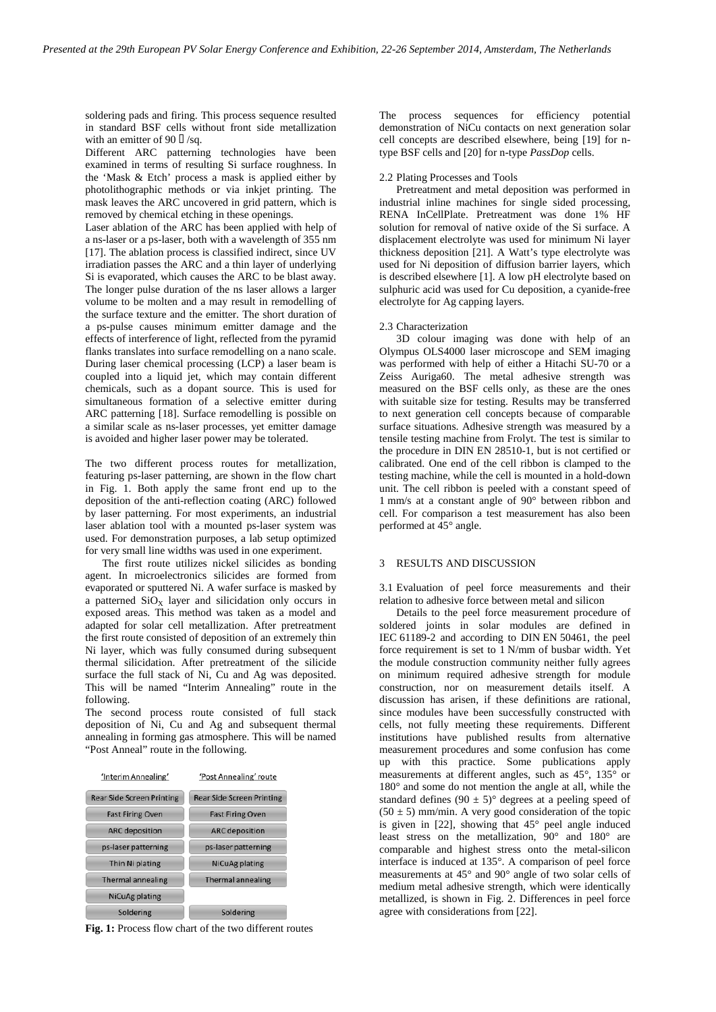soldering pads and firing. This process sequence resulted in standard BSF cells without front side metallization with an emitter of 90  $\Box$ /sq.

Different ARC patterning technologies have been examined in terms of resulting Si surface roughness. In the 'Mask & Etch' process a mask is applied either by photolithographic methods or via inkjet printing. The mask leaves the ARC uncovered in grid pattern, which is removed by chemical etching in these openings.

Laser ablation of the ARC has been applied with help of a ns-laser or a ps-laser, both with a wavelength of 355 nm [17]. The ablation process is classified indirect, since UV irradiation passes the ARC and a thin layer of underlying Si is evaporated, which causes the ARC to be blast away. The longer pulse duration of the ns laser allows a larger volume to be molten and a may result in remodelling of the surface texture and the emitter. The short duration of a ps-pulse causes minimum emitter damage and the effects of interference of light, reflected from the pyramid flanks translates into surface remodelling on a nano scale. During laser chemical processing (LCP) a laser beam is coupled into a liquid jet, which may contain different chemicals, such as a dopant source. This is used for simultaneous formation of a selective emitter during ARC patterning [18]. Surface remodelling is possible on a similar scale as ns-laser processes, yet emitter damage is avoided and higher laser power may be tolerated.

The two different process routes for metallization, featuring ps-laser patterning, are shown in the flow chart in [Fig. 1.](#page-1-0) Both apply the same front end up to the deposition of the anti-reflection coating (ARC) followed by laser patterning. For most experiments, an industrial laser ablation tool with a mounted ps-laser system was used. For demonstration purposes, a lab setup optimized for very small line widths was used in one experiment.

The first route utilizes nickel silicides as bonding agent. In microelectronics silicides are formed from evaporated or sputtered Ni. A wafer surface is masked by a patterned  $SiO<sub>x</sub>$  layer and silicidation only occurs in exposed areas. This method was taken as a model and adapted for solar cell metallization. After pretreatment the first route consisted of deposition of an extremely thin Ni layer, which was fully consumed during subsequent thermal silicidation. After pretreatment of the silicide surface the full stack of Ni, Cu and Ag was deposited. This will be named "Interim Annealing" route in the following.

The second process route consisted of full stack deposition of Ni, Cu and Ag and subsequent thermal annealing in forming gas atmosphere. This will be named "Post Anneal" route in the following.

'Interim Annealing' 'Post Annealing' route



<span id="page-1-0"></span>**Fig. 1:** Process flow chart of the two different routes

The process sequences for efficiency potential demonstration of NiCu contacts on next generation solar cell concepts are described elsewhere, being [19] for ntype BSF cells and [20] for n-type *PassDop* cells.

#### 2.2 Plating Processes and Tools

Pretreatment and metal deposition was performed in industrial inline machines for single sided processing, RENA InCellPlate. Pretreatment was done 1% HF solution for removal of native oxide of the Si surface. A displacement electrolyte was used for minimum Ni layer thickness deposition [21]. A Watt's type electrolyte was used for Ni deposition of diffusion barrier layers, which is described elsewhere [1]. A low pH electrolyte based on sulphuric acid was used for Cu deposition, a cyanide-free electrolyte for Ag capping layers.

### 2.3 Characterization

3D colour imaging was done with help of an Olympus OLS4000 laser microscope and SEM imaging was performed with help of either a Hitachi SU-70 or a Zeiss Auriga60. The metal adhesive strength was measured on the BSF cells only, as these are the ones with suitable size for testing. Results may be transferred to next generation cell concepts because of comparable surface situations. Adhesive strength was measured by a tensile testing machine from Frolyt. The test is similar to the procedure in DIN EN 28510-1, but is not certified or calibrated. One end of the cell ribbon is clamped to the testing machine, while the cell is mounted in a hold-down unit. The cell ribbon is peeled with a constant speed of 1 mm/s at a constant angle of 90° between ribbon and cell. For comparison a test measurement has also been performed at 45° angle.

## 3 RESULTS AND DISCUSSION

3.1 Evaluation of peel force measurements and their relation to adhesive force between metal and silicon

Details to the peel force measurement procedure of soldered joints in solar modules are defined in IEC 61189-2 and according to DIN EN 50461, the peel force requirement is set to 1 N/mm of busbar width. Yet the module construction community neither fully agrees on minimum required adhesive strength for module construction, nor on measurement details itself. A discussion has arisen, if these definitions are rational, since modules have been successfully constructed with cells, not fully meeting these requirements. Different institutions have published results from alternative measurement procedures and some confusion has come up with this practice. Some publications apply measurements at different angles, such as 45°, 135° or 180° and some do not mention the angle at all, while the standard defines  $(90 \pm 5)$ ° degrees at a peeling speed of  $(50 \pm 5)$  mm/min. A very good consideration of the topic is given in [22], showing that  $45^{\circ}$  peel angle induced least stress on the metallization, 90° and 180° are comparable and highest stress onto the metal-silicon interface is induced at 135°. A comparison of peel force measurements at 45° and 90° angle of two solar cells of medium metal adhesive strength, which were identically metallized, is shown in [Fig. 2.](#page-2-0) Differences in peel force agree with considerations from [22].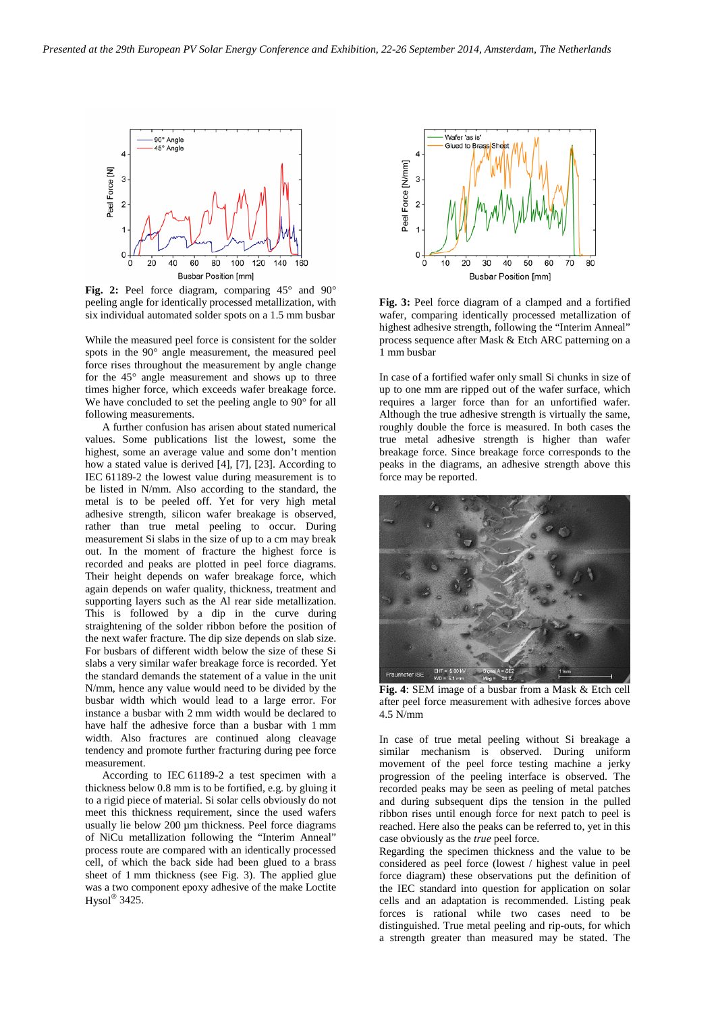

<span id="page-2-0"></span>**Fig. 2:** Peel force diagram, comparing 45° and 90° peeling angle for identically processed metallization, with six individual automated solder spots on a 1.5 mm busbar

While the measured peel force is consistent for the solder spots in the 90° angle measurement, the measured peel force rises throughout the measurement by angle change for the 45° angle measurement and shows up to three times higher force, which exceeds wafer breakage force. We have concluded to set the peeling angle to 90° for all following measurements.

A further confusion has arisen about stated numerical values. Some publications list the lowest, some the highest, some an average value and some don't mention how a stated value is derived [4], [7], [23]. According to IEC 61189-2 the lowest value during measurement is to be listed in N/mm. Also according to the standard, the metal is to be peeled off. Yet for very high metal adhesive strength, silicon wafer breakage is observed, rather than true metal peeling to occur. During measurement Si slabs in the size of up to a cm may break out. In the moment of fracture the highest force is recorded and peaks are plotted in peel force diagrams. Their height depends on wafer breakage force, which again depends on wafer quality, thickness, treatment and supporting layers such as the Al rear side metallization. This is followed by a dip in the curve during straightening of the solder ribbon before the position of the next wafer fracture. The dip size depends on slab size. For busbars of different width below the size of these Si slabs a very similar wafer breakage force is recorded. Yet the standard demands the statement of a value in the unit N/mm, hence any value would need to be divided by the busbar width which would lead to a large error. For instance a busbar with 2 mm width would be declared to have half the adhesive force than a busbar with 1 mm width. Also fractures are continued along cleavage tendency and promote further fracturing during pee force measurement.

According to IEC 61189-2 a test specimen with a thickness below 0.8 mm is to be fortified, e.g. by gluing it to a rigid piece of material. Si solar cells obviously do not meet this thickness requirement, since the used wafers usually lie below 200 µm thickness. Peel force diagrams of NiCu metallization following the "Interim Anneal" process route are compared with an identically processed cell, of which the back side had been glued to a brass sheet of 1 mm thickness (see [Fig. 3\)](#page-2-1). The applied glue was a two component epoxy adhesive of the make Loctite Hysol $^{\circ}$  3425.



<span id="page-2-1"></span>**Fig. 3:** Peel force diagram of a clamped and a fortified wafer, comparing identically processed metallization of highest adhesive strength, following the "Interim Anneal" process sequence after Mask & Etch ARC patterning on a 1 mm busbar

In case of a fortified wafer only small Si chunks in size of up to one mm are ripped out of the wafer surface, which requires a larger force than for an unfortified wafer. Although the true adhesive strength is virtually the same, roughly double the force is measured. In both cases the true metal adhesive strength is higher than wafer breakage force. Since breakage force corresponds to the peaks in the diagrams, an adhesive strength above this force may be reported.



**Fig. 4**: SEM image of a busbar from a Mask & Etch cell after peel force measurement with adhesive forces above 4.5 N/mm

In case of true metal peeling without Si breakage a similar mechanism is observed. During uniform movement of the peel force testing machine a jerky progression of the peeling interface is observed. The recorded peaks may be seen as peeling of metal patches and during subsequent dips the tension in the pulled ribbon rises until enough force for next patch to peel is reached. Here also the peaks can be referred to, yet in this case obviously as the *true* peel force.

Regarding the specimen thickness and the value to be considered as peel force (lowest / highest value in peel force diagram) these observations put the definition of the IEC standard into question for application on solar cells and an adaptation is recommended. Listing peak forces is rational while two cases need to be distinguished. True metal peeling and rip-outs, for which a strength greater than measured may be stated. The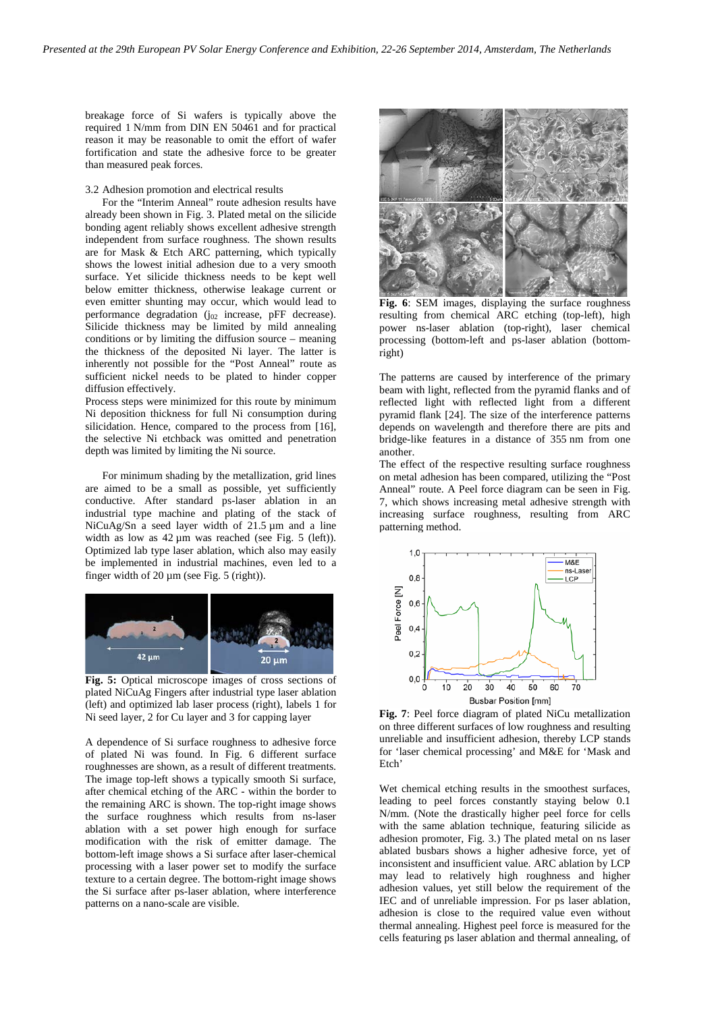breakage force of Si wafers is typically above the required 1 N/mm from DIN EN 50461 and for practical reason it may be reasonable to omit the effort of wafer fortification and state the adhesive force to be greater than measured peak forces.

# 3.2 Adhesion promotion and electrical results

For the "Interim Anneal" route adhesion results have already been shown in [Fig. 3.](#page-2-1) Plated metal on the silicide bonding agent reliably shows excellent adhesive strength independent from surface roughness. The shown results are for Mask & Etch ARC patterning, which typically shows the lowest initial adhesion due to a very smooth surface. Yet silicide thickness needs to be kept well below emitter thickness, otherwise leakage current or even emitter shunting may occur, which would lead to performance degradation  $(j_{02}$  increase, pFF decrease). Silicide thickness may be limited by mild annealing conditions or by limiting the diffusion source – meaning the thickness of the deposited Ni layer. The latter is inherently not possible for the "Post Anneal" route as sufficient nickel needs to be plated to hinder copper diffusion effectively.

Process steps were minimized for this route by minimum Ni deposition thickness for full Ni consumption during silicidation. Hence, compared to the process from [16], the selective Ni etchback was omitted and penetration depth was limited by limiting the Ni source.

For minimum shading by the metallization, grid lines are aimed to be a small as possible, yet sufficiently conductive. After standard ps-laser ablation in an industrial type machine and plating of the stack of NiCuAg/Sn a seed layer width of 21.5 µm and a line width as low as 42  $\mu$ m was reached (see [Fig. 5](#page-3-0) (left)). Optimized lab type laser ablation, which also may easily be implemented in industrial machines, even led to a finger width of  $20 \mu m$  (see [Fig. 5](#page-3-0) (right)).



<span id="page-3-0"></span>**Fig. 5:** Optical microscope images of cross sections of plated NiCuAg Fingers after industrial type laser ablation (left) and optimized lab laser process (right), labels 1 for Ni seed layer, 2 for Cu layer and 3 for capping layer

A dependence of Si surface roughness to adhesive force of plated Ni was found. In [Fig. 6](#page-3-1) different surface roughnesses are shown, as a result of different treatments. The image top-left shows a typically smooth Si surface, after chemical etching of the ARC - within the border to the remaining ARC is shown. The top-right image shows the surface roughness which results from ns-laser ablation with a set power high enough for surface modification with the risk of emitter damage. The bottom-left image shows a Si surface after laser-chemical processing with a laser power set to modify the surface texture to a certain degree. The bottom-right image shows the Si surface after ps-laser ablation, where interference patterns on a nano-scale are visible.



<span id="page-3-1"></span>**Fig. 6**: SEM images, displaying the surface roughness resulting from chemical ARC etching (top-left), high power ns-laser ablation (top-right), laser chemical processing (bottom-left and ps-laser ablation (bottomright)

The patterns are caused by interference of the primary beam with light, reflected from the pyramid flanks and of reflected light with reflected light from a different pyramid flank [24]. The size of the interference patterns depends on wavelength and therefore there are pits and bridge-like features in a distance of 355 nm from one another.

The effect of the respective resulting surface roughness on metal adhesion has been compared, utilizing the "Post Anneal" route. A Peel force diagram can be seen in [Fig.](#page-3-2)  [7,](#page-3-2) which shows increasing metal adhesive strength with increasing surface roughness, resulting from ARC patterning method.



<span id="page-3-2"></span>**Fig. 7**: Peel force diagram of plated NiCu metallization on three different surfaces of low roughness and resulting unreliable and insufficient adhesion, thereby LCP stands for 'laser chemical processing' and M&E for 'Mask and Etch'

Wet chemical etching results in the smoothest surfaces, leading to peel forces constantly staying below 0.1 N/mm. (Note the drastically higher peel force for cells with the same ablation technique, featuring silicide as adhesion promoter, [Fig. 3.](#page-2-1)) The plated metal on ns laser ablated busbars shows a higher adhesive force, yet of inconsistent and insufficient value. ARC ablation by LCP may lead to relatively high roughness and higher adhesion values, yet still below the requirement of the IEC and of unreliable impression. For ps laser ablation, adhesion is close to the required value even without thermal annealing. Highest peel force is measured for the cells featuring ps laser ablation and thermal annealing, of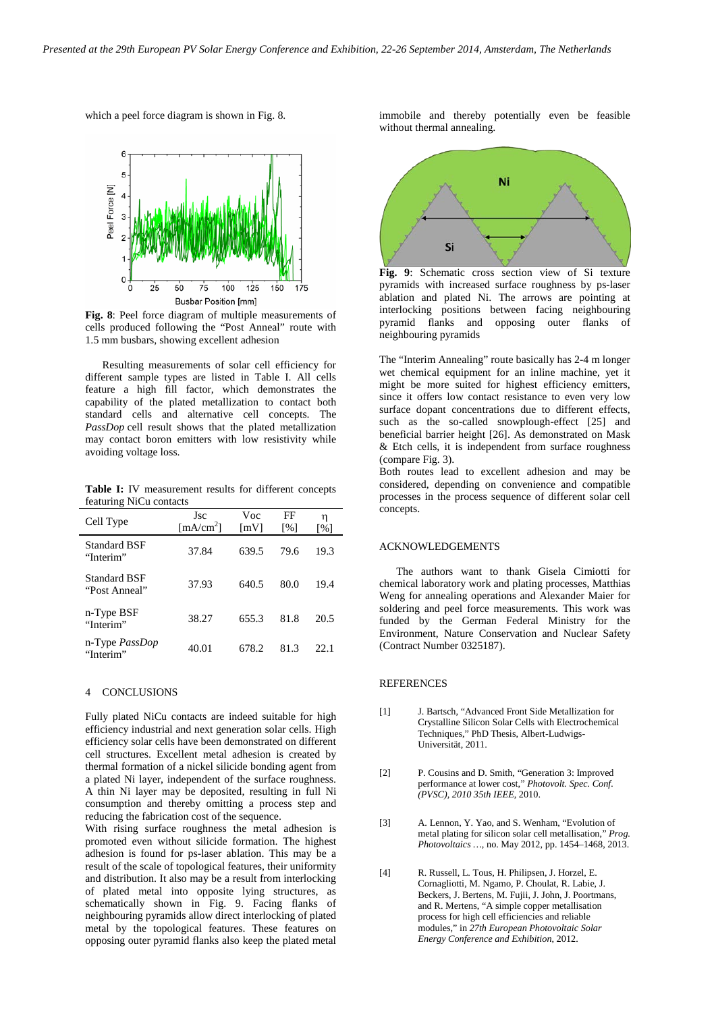which a peel force diagram is shown i[n Fig. 8.](#page-4-0) 



<span id="page-4-0"></span>**Fig. 8**: Peel force diagram of multiple measurements of cells produced following the "Post Anneal" route with 1.5 mm busbars, showing excellent adhesion

Resulting measurements of solar cell efficiency for different sample types are listed in Table I. All cells feature a high fill factor, which demonstrates the capability of the plated metallization to contact both standard cells and alternative cell concepts. The *PassDop* cell result shows that the plated metallization may contact boron emitters with low resistivity while avoiding voltage loss.

**Table I:** IV measurement results for different concepts featuring NiCu contacts

| Cell Type                            | Jsc<br>[mA/cm <sup>2</sup> ] | Voc<br>$\lceil mV \rceil$ | FF<br>$\lceil \% \rceil$ | η<br>$\lceil\% \rceil$ |
|--------------------------------------|------------------------------|---------------------------|--------------------------|------------------------|
| Standard BSF<br>"Interim"            | 37.84                        | 639.5                     | 79.6                     | 19.3                   |
| <b>Standard BSF</b><br>"Post Anneal" | 37.93                        | 640.5                     | 80.0                     | 19.4                   |
| n-Type BSF<br>"Interim"              | 38.27                        | 655.3                     | 81.8                     | 20.5                   |
| n-Type <i>PassDop</i><br>"Interim"   | 40.01                        | 678.2                     | 81.3                     | 22.1                   |

## 4 CONCLUSIONS

Fully plated NiCu contacts are indeed suitable for high efficiency industrial and next generation solar cells. High efficiency solar cells have been demonstrated on different cell structures. Excellent metal adhesion is created by thermal formation of a nickel silicide bonding agent from a plated Ni layer, independent of the surface roughness. A thin Ni layer may be deposited, resulting in full Ni consumption and thereby omitting a process step and reducing the fabrication cost of the sequence.

With rising surface roughness the metal adhesion is promoted even without silicide formation. The highest adhesion is found for ps-laser ablation. This may be a result of the scale of topological features, their uniformity and distribution. It also may be a result from interlocking of plated metal into opposite lying structures, as schematically shown in [Fig. 9.](#page-4-1) Facing flanks of neighbouring pyramids allow direct interlocking of plated metal by the topological features. These features on opposing outer pyramid flanks also keep the plated metal

immobile and thereby potentially even be feasible without thermal annealing.



<span id="page-4-1"></span>**Fig. 9**: Schematic cross section view of Si texture pyramids with increased surface roughness by ps-laser ablation and plated Ni. The arrows are pointing at interlocking positions between facing neighbouring pyramid flanks and opposing outer flanks of neighbouring pyramids

The "Interim Annealing" route basically has 2-4 m longer wet chemical equipment for an inline machine, yet it might be more suited for highest efficiency emitters, since it offers low contact resistance to even very low surface dopant concentrations due to different effects, such as the so-called snowplough-effect [25] and beneficial barrier height [26]. As demonstrated on Mask & Etch cells, it is independent from surface roughness (compare [Fig. 3\)](#page-2-1).

Both routes lead to excellent adhesion and may be considered, depending on convenience and compatible processes in the process sequence of different solar cell concepts.

# ACKNOWLEDGEMENTS

The authors want to thank Gisela Cimiotti for chemical laboratory work and plating processes, Matthias Weng for annealing operations and Alexander Maier for soldering and peel force measurements. This work was funded by the German Federal Ministry for the Environment, Nature Conservation and Nuclear Safety (Contract Number 0325187).

### **REFERENCES**

- [1] J. Bartsch, "Advanced Front Side Metallization for Crystalline Silicon Solar Cells with Electrochemical Techniques," PhD Thesis, Albert-Ludwigs-Universität, 2011.
- [2] P. Cousins and D. Smith, "Generation 3: Improved performance at lower cost," *Photovolt. Spec. Conf. (PVSC), 2010 35th IEEE*, 2010.
- [3] A. Lennon, Y. Yao, and S. Wenham, "Evolution of metal plating for silicon solar cell metallisation," *Prog. Photovoltaics …*, no. May 2012, pp. 1454–1468, 2013.
- [4] R. Russell, L. Tous, H. Philipsen, J. Horzel, E. Cornagliotti, M. Ngamo, P. Choulat, R. Labie, J. Beckers, J. Bertens, M. Fujii, J. John, J. Poortmans, and R. Mertens, "A simple copper metallisation process for high cell efficiencies and reliable modules," in *27th European Photovoltaic Solar Energy Conference and Exhibition*, 2012.